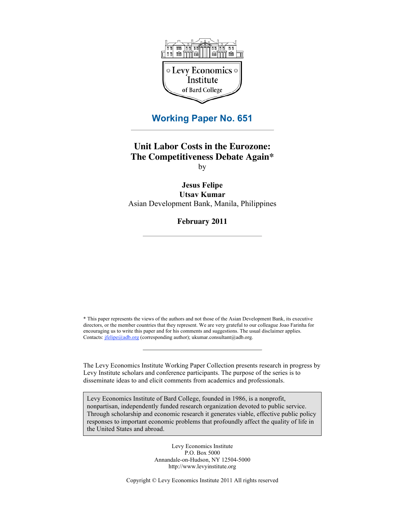

## **Working Paper No. 651**

## **Unit Labor Costs in the Eurozone: The Competitiveness Debate Again\*** by

**Jesus Felipe Utsav Kumar** Asian Development Bank, Manila, Philippines

**February 2011**

\* This paper represents the views of the authors and not those of the Asian Development Bank, its executive directors, or the member countries that they represent. We are very grateful to our colleague Joao Farinha for encouraging us to write this paper and for his comments and suggestions. The usual disclaimer applies. Contacts:  $\text{if} \frac{\text{clip}(\text{a}, \text{adb} \cdot \text{org})}{\text{cor} \text{cor}}$  (corresponding author); ukumar.consultant@adb.org.

The Levy Economics Institute Working Paper Collection presents research in progress by Levy Institute scholars and conference participants. The purpose of the series is to disseminate ideas to and elicit comments from academics and professionals.

Levy Economics Institute of Bard College, founded in 1986, is a nonprofit, nonpartisan, independently funded research organization devoted to public service. Through scholarship and economic research it generates viable, effective public policy responses to important economic problems that profoundly affect the quality of life in the United States and abroad.

> Levy Economics Institute P.O. Box 5000 Annandale-on-Hudson, NY 12504-5000 http://www.levyinstitute.org

Copyright © Levy Economics Institute 2011 All rights reserved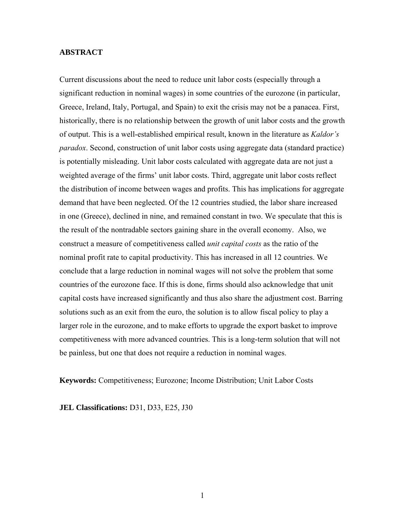#### **ABSTRACT**

Current discussions about the need to reduce unit labor costs (especially through a significant reduction in nominal wages) in some countries of the eurozone (in particular, Greece, Ireland, Italy, Portugal, and Spain) to exit the crisis may not be a panacea. First, historically, there is no relationship between the growth of unit labor costs and the growth of output. This is a well-established empirical result, known in the literature as *Kaldor's paradox*. Second, construction of unit labor costs using aggregate data (standard practice) is potentially misleading. Unit labor costs calculated with aggregate data are not just a weighted average of the firms' unit labor costs. Third, aggregate unit labor costs reflect the distribution of income between wages and profits. This has implications for aggregate demand that have been neglected. Of the 12 countries studied, the labor share increased in one (Greece), declined in nine, and remained constant in two. We speculate that this is the result of the nontradable sectors gaining share in the overall economy. Also, we construct a measure of competitiveness called *unit capital costs* as the ratio of the nominal profit rate to capital productivity. This has increased in all 12 countries. We conclude that a large reduction in nominal wages will not solve the problem that some countries of the eurozone face. If this is done, firms should also acknowledge that unit capital costs have increased significantly and thus also share the adjustment cost. Barring solutions such as an exit from the euro, the solution is to allow fiscal policy to play a larger role in the eurozone, and to make efforts to upgrade the export basket to improve competitiveness with more advanced countries. This is a long-term solution that will not be painless, but one that does not require a reduction in nominal wages.

**Keywords:** Competitiveness; Eurozone; Income Distribution; Unit Labor Costs

**JEL Classifications:** D31, D33, E25, J30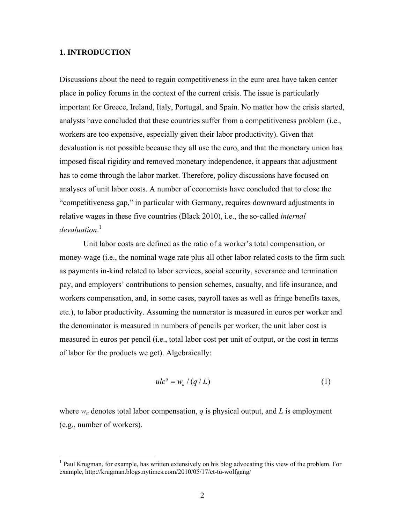#### **1. INTRODUCTION**

Discussions about the need to regain competitiveness in the euro area have taken center place in policy forums in the context of the current crisis. The issue is particularly important for Greece, Ireland, Italy, Portugal, and Spain. No matter how the crisis started, analysts have concluded that these countries suffer from a competitiveness problem (i.e., workers are too expensive, especially given their labor productivity). Given that devaluation is not possible because they all use the euro, and that the monetary union has imposed fiscal rigidity and removed monetary independence, it appears that adjustment has to come through the labor market. Therefore, policy discussions have focused on analyses of unit labor costs. A number of economists have concluded that to close the "competitiveness gap," in particular with Germany, requires downward adjustments in relative wages in these five countries (Black 2010), i.e., the so-called *internal devaluation*. 1

Unit labor costs are defined as the ratio of a worker's total compensation, or money-wage (i.e., the nominal wage rate plus all other labor-related costs to the firm such as payments in-kind related to labor services, social security, severance and termination pay, and employers' contributions to pension schemes, casualty, and life insurance, and workers compensation, and, in some cases, payroll taxes as well as fringe benefits taxes, etc.), to labor productivity. Assuming the numerator is measured in euros per worker and the denominator is measured in numbers of pencils per worker, the unit labor cost is measured in euros per pencil (i.e., total labor cost per unit of output, or the cost in terms of labor for the products we get). Algebraically:

$$
ulcq = wn / (q / L)
$$
 (1)

where  $w_n$  denotes total labor compensation, *q* is physical output, and *L* is employment (e.g., number of workers).

<sup>&</sup>lt;sup>1</sup> Paul Krugman, for example, has written extensively on his blog advocating this view of the problem. For example, http://krugman.blogs.nytimes.com/2010/05/17/et-tu-wolfgang/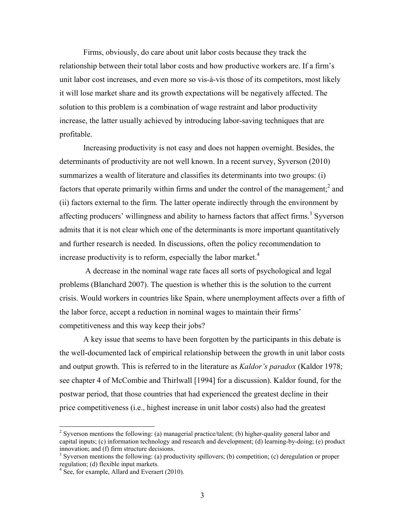Firms, obviously, do care about unit labor costs because they track the relationship between their total labor costs and how productive workers are. If a firm's unit labor cost increases, and even more so vis-à-vis those of its competitors, most likely it will lose market share and its growth expectations will be negatively affected. The solution to this problem is a combination of wage restraint and labor productivity increase, the latter usually achieved by introducing labor-saving techniques that are profitable.

Increasing productivity is not easy and does not happen overnight. Besides, the determinants of productivity are not well known. In a recent survey, Syverson (2010) summarizes a wealth of literature and classifies its determinants into two groups: (i) factors that operate primarily within firms and under the control of the management; $<sup>2</sup>$  and</sup> (ii) factors external to the firm. The latter operate indirectly through the environment by affecting producers' willingness and ability to harness factors that affect firms.<sup>3</sup> Syverson admits that it is not clear which one of the determinants is more important quantitatively and further research is needed. In discussions, often the policy recommendation to increase productivity is to reform, especially the labor market.<sup>4</sup>

 A decrease in the nominal wage rate faces all sorts of psychological and legal problems (Blanchard 2007). The question is whether this is the solution to the current crisis. Would workers in countries like Spain, where unemployment affects over a fifth of the labor force, accept a reduction in nominal wages to maintain their firms' competitiveness and this way keep their jobs?

A key issue that seems to have been forgotten by the participants in this debate is the well-documented lack of empirical relationship between the growth in unit labor costs and output growth. This is referred to in the literature as *Kaldor's paradox* (Kaldor 1978; see chapter 4 of McCombie and Thirlwall [1994] for a discussion). Kaldor found, for the postwar period, that those countries that had experienced the greatest decline in their price competitiveness (i.e., highest increase in unit labor costs) also had the greatest

<sup>&</sup>lt;sup>2</sup> Syverson mentions the following: (a) managerial practice/talent; (b) higher-quality general labor and capital inputs; (c) information technology and research and development; (d) learning-by-doing; (e) product innovation; and (f) firm structure decisions.

 $3$  Syverson mentions the following: (a) productivity spillovers; (b) competition; (c) deregulation or proper regulation; (d) flexible input markets.

<sup>&</sup>lt;sup>4</sup> See, for example, Allard and Everaert (2010).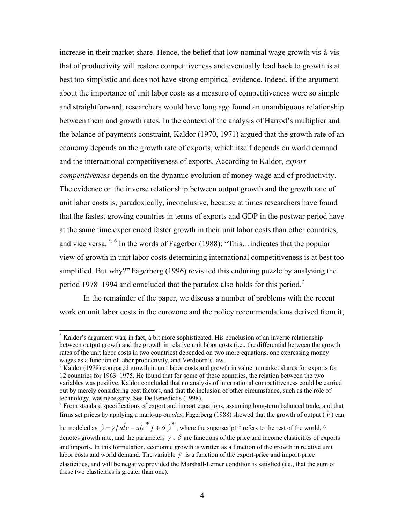increase in their market share. Hence, the belief that low nominal wage growth vis-à-vis that of productivity will restore competitiveness and eventually lead back to growth is at best too simplistic and does not have strong empirical evidence. Indeed, if the argument about the importance of unit labor costs as a measure of competitiveness were so simple and straightforward, researchers would have long ago found an unambiguous relationship between them and growth rates. In the context of the analysis of Harrod's multiplier and the balance of payments constraint, Kaldor (1970, 1971) argued that the growth rate of an economy depends on the growth rate of exports, which itself depends on world demand and the international competitiveness of exports. According to Kaldor, *export competitiveness* depends on the dynamic evolution of money wage and of productivity. The evidence on the inverse relationship between output growth and the growth rate of unit labor costs is, paradoxically, inconclusive, because at times researchers have found that the fastest growing countries in terms of exports and GDP in the postwar period have at the same time experienced faster growth in their unit labor costs than other countries, and vice versa.<sup>5, 6</sup> In the words of Fagerber (1988): "This... indicates that the popular view of growth in unit labor costs determining international competitiveness is at best too simplified. But why?" Fagerberg (1996) revisited this enduring puzzle by analyzing the period 1978–1994 and concluded that the paradox also holds for this period.<sup>7</sup>

In the remainder of the paper, we discuss a number of problems with the recent work on unit labor costs in the eurozone and the policy recommendations derived from it,

 $\overline{a}$ 

 $<sup>5</sup>$  Kaldor's argument was, in fact, a bit more sophisticated. His conclusion of an inverse relationship</sup> between output growth and the growth in relative unit labor costs (i.e., the differential between the growth rates of the unit labor costs in two countries) depended on two more equations, one expressing money wages as a function of labor productivity, and Verdoorn's law.

<sup>&</sup>lt;sup>6</sup> Kaldor (1978) compared growth in unit labor costs and growth in value in market shares for exports for 12 countries for 1963–1975. He found that for some of these countries, the relation between the two variables was positive. Kaldor concluded that no analysis of international competitiveness could be carried out by merely considering cost factors, and that the inclusion of other circumstance, such as the role of technology, was necessary. See De Benedictis (1998).

<sup>&</sup>lt;sup>7</sup> From standard specifications of export and import equations, assuming long-term balanced trade, and that firms set prices by applying a mark-up on *ulcs*, Fagerberg (1988) showed that the growth of output ( $\hat{y}$ ) can

be modeled as  $\hat{y} = \gamma \left[ u \hat{l} c - u \hat{l} c^* \right] + \delta \hat{y}^*$ , where the superscript \* refers to the rest of the world,  $\wedge$ denotes growth rate, and the parameters  $\gamma$ ,  $\delta$  are functions of the price and income elasticities of exports and imports. In this formulation, economic growth is written as a function of the growth in relative unit labor costs and world demand. The variable  $\gamma$  is a function of the export-price and import-price elasticities, and will be negative provided the Marshall-Lerner condition is satisfied (i.e., that the sum of these two elasticities is greater than one).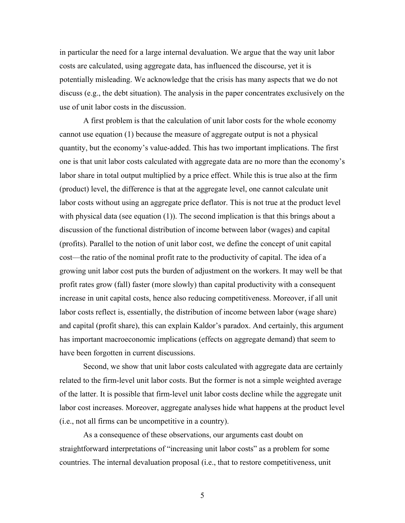in particular the need for a large internal devaluation. We argue that the way unit labor costs are calculated, using aggregate data, has influenced the discourse, yet it is potentially misleading. We acknowledge that the crisis has many aspects that we do not discuss (e.g., the debt situation). The analysis in the paper concentrates exclusively on the use of unit labor costs in the discussion.

A first problem is that the calculation of unit labor costs for the whole economy cannot use equation (1) because the measure of aggregate output is not a physical quantity, but the economy's value-added. This has two important implications. The first one is that unit labor costs calculated with aggregate data are no more than the economy's labor share in total output multiplied by a price effect. While this is true also at the firm (product) level, the difference is that at the aggregate level, one cannot calculate unit labor costs without using an aggregate price deflator. This is not true at the product level with physical data (see equation (1)). The second implication is that this brings about a discussion of the functional distribution of income between labor (wages) and capital (profits). Parallel to the notion of unit labor cost, we define the concept of unit capital cost—the ratio of the nominal profit rate to the productivity of capital. The idea of a growing unit labor cost puts the burden of adjustment on the workers. It may well be that profit rates grow (fall) faster (more slowly) than capital productivity with a consequent increase in unit capital costs, hence also reducing competitiveness. Moreover, if all unit labor costs reflect is, essentially, the distribution of income between labor (wage share) and capital (profit share), this can explain Kaldor's paradox. And certainly, this argument has important macroeconomic implications (effects on aggregate demand) that seem to have been forgotten in current discussions.

Second, we show that unit labor costs calculated with aggregate data are certainly related to the firm-level unit labor costs. But the former is not a simple weighted average of the latter. It is possible that firm-level unit labor costs decline while the aggregate unit labor cost increases. Moreover, aggregate analyses hide what happens at the product level (i.e., not all firms can be uncompetitive in a country).

As a consequence of these observations, our arguments cast doubt on straightforward interpretations of "increasing unit labor costs" as a problem for some countries. The internal devaluation proposal (i.e., that to restore competitiveness, unit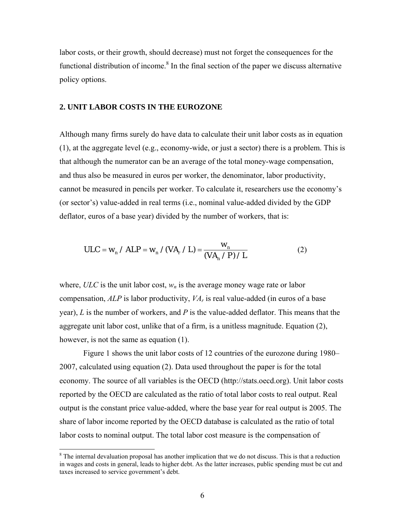labor costs, or their growth, should decrease) must not forget the consequences for the functional distribution of income.<sup>8</sup> In the final section of the paper we discuss alternative policy options.

#### **2. UNIT LABOR COSTS IN THE EUROZONE**

Although many firms surely do have data to calculate their unit labor costs as in equation (1), at the aggregate level (e.g., economy-wide, or just a sector) there is a problem. This is that although the numerator can be an average of the total money-wage compensation, and thus also be measured in euros per worker, the denominator, labor productivity, cannot be measured in pencils per worker. To calculate it, researchers use the economy's (or sector's) value-added in real terms (i.e., nominal value-added divided by the GDP deflator, euros of a base year) divided by the number of workers, that is:

$$
ULC = w_n / ALP = w_n / (VA_r / L) = \frac{w_n}{(VA_n / P) / L}
$$
 (2)

where,  $ULC$  is the unit labor cost,  $w_n$  is the average money wage rate or labor compensation, *ALP* is labor productivity, *VAr* is real value-added (in euros of a base year), *L* is the number of workers, and *P* is the value-added deflator. This means that the aggregate unit labor cost, unlike that of a firm, is a unitless magnitude. Equation (2), however, is not the same as equation (1).

Figure 1 shows the unit labor costs of 12 countries of the eurozone during 1980– 2007, calculated using equation (2). Data used throughout the paper is for the total economy. The source of all variables is the OECD (http://stats.oecd.org). Unit labor costs reported by the OECD are calculated as the ratio of total labor costs to real output. Real output is the constant price value-added, where the base year for real output is 2005. The share of labor income reported by the OECD database is calculated as the ratio of total labor costs to nominal output. The total labor cost measure is the compensation of

<sup>&</sup>lt;sup>8</sup> The internal devaluation proposal has another implication that we do not discuss. This is that a reduction in wages and costs in general, leads to higher debt. As the latter increases, public spending must be cut and taxes increased to service government's debt.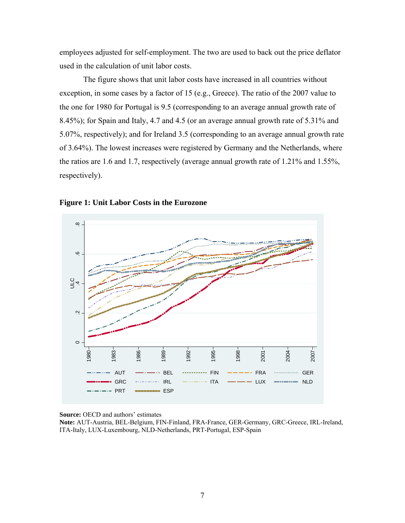employees adjusted for self-employment. The two are used to back out the price deflator used in the calculation of unit labor costs.

The figure shows that unit labor costs have increased in all countries without exception, in some cases by a factor of 15 (e.g., Greece). The ratio of the 2007 value to the one for 1980 for Portugal is 9.5 (corresponding to an average annual growth rate of 8.45%); for Spain and Italy, 4.7 and 4.5 (or an average annual growth rate of 5.31% and 5.07%, respectively); and for Ireland 3.5 (corresponding to an average annual growth rate of 3.64%). The lowest increases were registered by Germany and the Netherlands, where the ratios are 1.6 and 1.7, respectively (average annual growth rate of 1.21% and 1.55%, respectively).





**Source:** OECD and authors' estimates

**Note:** AUT-Austria, BEL-Belgium, FIN-Finland, FRA-France, GER-Germany, GRC-Greece, IRL-Ireland, ITA-Italy, LUX-Luxembourg, NLD-Netherlands, PRT-Portugal, ESP-Spain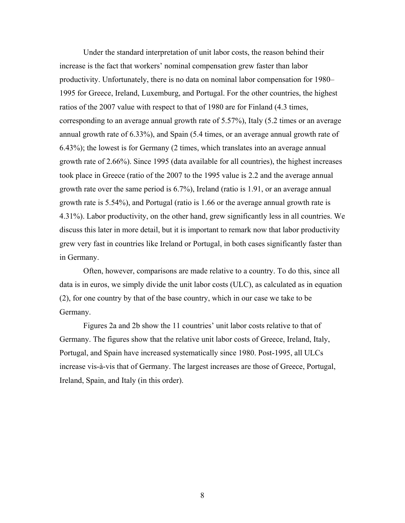Under the standard interpretation of unit labor costs, the reason behind their increase is the fact that workers' nominal compensation grew faster than labor productivity. Unfortunately, there is no data on nominal labor compensation for 1980– 1995 for Greece, Ireland, Luxemburg, and Portugal. For the other countries, the highest ratios of the 2007 value with respect to that of 1980 are for Finland (4.3 times, corresponding to an average annual growth rate of 5.57%), Italy (5.2 times or an average annual growth rate of 6.33%), and Spain (5.4 times, or an average annual growth rate of 6.43%); the lowest is for Germany (2 times, which translates into an average annual growth rate of 2.66%). Since 1995 (data available for all countries), the highest increases took place in Greece (ratio of the 2007 to the 1995 value is 2.2 and the average annual growth rate over the same period is 6.7%), Ireland (ratio is 1.91, or an average annual growth rate is 5.54%), and Portugal (ratio is 1.66 or the average annual growth rate is 4.31%). Labor productivity, on the other hand, grew significantly less in all countries. We discuss this later in more detail, but it is important to remark now that labor productivity grew very fast in countries like Ireland or Portugal, in both cases significantly faster than in Germany.

Often, however, comparisons are made relative to a country. To do this, since all data is in euros, we simply divide the unit labor costs (ULC), as calculated as in equation (2), for one country by that of the base country, which in our case we take to be Germany.

Figures 2a and 2b show the 11 countries' unit labor costs relative to that of Germany. The figures show that the relative unit labor costs of Greece, Ireland, Italy, Portugal, and Spain have increased systematically since 1980. Post-1995, all ULCs increase vis-à-vis that of Germany. The largest increases are those of Greece, Portugal, Ireland, Spain, and Italy (in this order).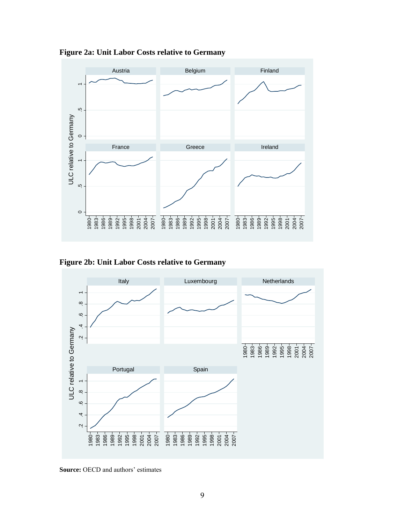

**Figure 2a: Unit Labor Costs relative to Germany**





**Source:** OECD and authors' estimates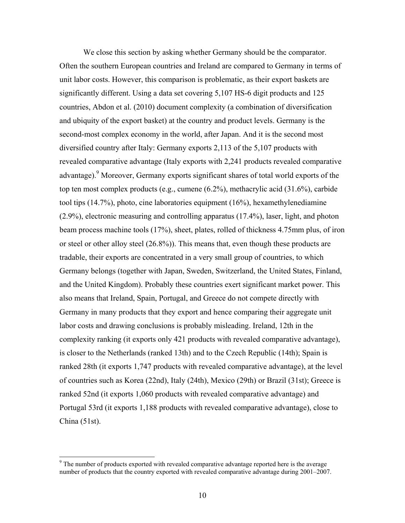We close this section by asking whether Germany should be the comparator. Often the southern European countries and Ireland are compared to Germany in terms of unit labor costs. However, this comparison is problematic, as their export baskets are significantly different. Using a data set covering 5,107 HS-6 digit products and 125 countries, Abdon et al. (2010) document complexity (a combination of diversification and ubiquity of the export basket) at the country and product levels. Germany is the second-most complex economy in the world, after Japan. And it is the second most diversified country after Italy: Germany exports 2,113 of the 5,107 products with revealed comparative advantage (Italy exports with 2,241 products revealed comparative advantage). Moreover, Germany exports significant shares of total world exports of the top ten most complex products (e.g., cumene (6.2%), methacrylic acid (31.6%), carbide tool tips (14.7%), photo, cine laboratories equipment (16%), hexamethylenediamine (2.9%), electronic measuring and controlling apparatus (17.4%), laser, light, and photon beam process machine tools (17%), sheet, plates, rolled of thickness 4.75mm plus, of iron or steel or other alloy steel (26.8%)). This means that, even though these products are tradable, their exports are concentrated in a very small group of countries, to which Germany belongs (together with Japan, Sweden, Switzerland, the United States, Finland, and the United Kingdom). Probably these countries exert significant market power. This also means that Ireland, Spain, Portugal, and Greece do not compete directly with Germany in many products that they export and hence comparing their aggregate unit labor costs and drawing conclusions is probably misleading. Ireland, 12th in the complexity ranking (it exports only 421 products with revealed comparative advantage), is closer to the Netherlands (ranked 13th) and to the Czech Republic (14th); Spain is ranked 28th (it exports 1,747 products with revealed comparative advantage), at the level of countries such as Korea (22nd), Italy (24th), Mexico (29th) or Brazil (31st); Greece is ranked 52nd (it exports 1,060 products with revealed comparative advantage) and Portugal 53rd (it exports 1,188 products with revealed comparative advantage), close to China (51st).

 $9<sup>9</sup>$  The number of products exported with revealed comparative advantage reported here is the average number of products that the country exported with revealed comparative advantage during 2001–2007.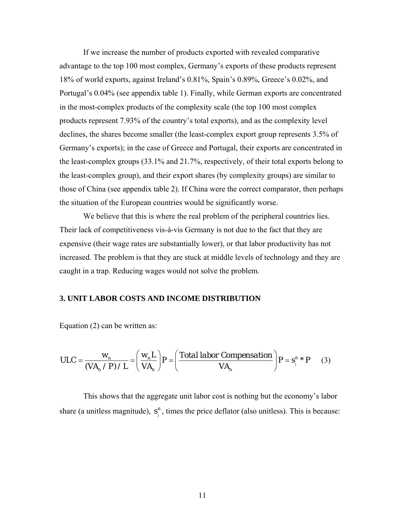If we increase the number of products exported with revealed comparative advantage to the top 100 most complex, Germany's exports of these products represent 18% of world exports, against Ireland's 0.81%, Spain's 0.89%, Greece's 0.02%, and Portugal's 0.04% (see appendix table 1). Finally, while German exports are concentrated in the most-complex products of the complexity scale (the top 100 most complex products represent 7.93% of the country's total exports), and as the complexity level declines, the shares become smaller (the least-complex export group represents 3.5% of Germany's exports); in the case of Greece and Portugal, their exports are concentrated in the least-complex groups (33.1% and 21.7%, respectively, of their total exports belong to the least-complex group), and their export shares (by complexity groups) are similar to those of China (see appendix table 2). If China were the correct comparator, then perhaps the situation of the European countries would be significantly worse.

We believe that this is where the real problem of the peripheral countries lies. Their lack of competitiveness vis-à-vis Germany is not due to the fact that they are expensive (their wage rates are substantially lower), or that labor productivity has not increased. The problem is that they are stuck at middle levels of technology and they are caught in a trap. Reducing wages would not solve the problem.

#### **3. UNIT LABOR COSTS AND INCOME DISTRIBUTION**

Equation (2) can be written as:

$$
ULC = \frac{W_n}{(VA_n / P) / L} = \left(\frac{W_n L}{VA_n}\right) P = \left(\frac{\text{Total labor Composition}}{VA_n}\right) P = s_i^n * P \tag{3}
$$

This shows that the aggregate unit labor cost is nothing but the economy's labor share (a unitless magnitude),  $s_i^n$ , times the price deflator (also unitless). This is because: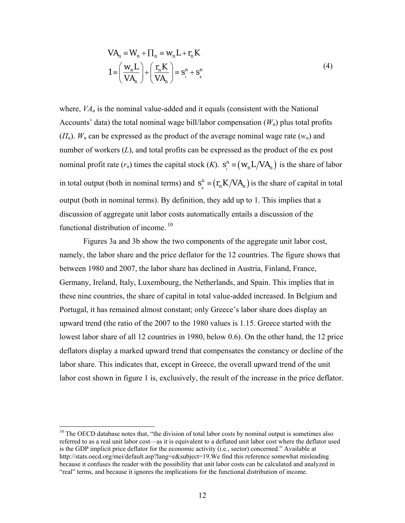$$
VA_n \equiv W_n + \prod_n \equiv w_n L + r_n K
$$
  

$$
1 = \left(\frac{w_n L}{VA_n}\right) + \left(\frac{r_n K}{VA_n}\right) \equiv s_i^n + s_k^n
$$
 (4)

where,  $VA<sub>n</sub>$  is the nominal value-added and it equals (consistent with the National Accounts' data) the total nominal wage bill/labor compensation  $(W_n)$  plus total profits  $(\Pi_n)$ .  $W_n$  can be expressed as the product of the average nominal wage rate  $(w_n)$  and number of workers (*L*), and total profits can be expressed as the product of the ex post nominal profit rate  $(r_n)$  times the capital stock  $(K)$ .  $s_i^n \equiv (w_n L / V A_n)$  is the share of labor in total output (both in nominal terms) and  $s^n_{\mu} = (r_n K / V A_n)$  is the share of capital in total output (both in nominal terms). By definition, they add up to 1. This implies that a discussion of aggregate unit labor costs automatically entails a discussion of the functional distribution of income.<sup>10</sup>

Figures 3a and 3b show the two components of the aggregate unit labor cost, namely, the labor share and the price deflator for the 12 countries. The figure shows that between 1980 and 2007, the labor share has declined in Austria, Finland, France, Germany, Ireland, Italy, Luxembourg, the Netherlands, and Spain. This implies that in these nine countries, the share of capital in total value-added increased. In Belgium and Portugal, it has remained almost constant; only Greece's labor share does display an upward trend (the ratio of the 2007 to the 1980 values is 1.15. Greece started with the lowest labor share of all 12 countries in 1980, below 0.6). On the other hand, the 12 price deflators display a marked upward trend that compensates the constancy or decline of the labor share. This indicates that, except in Greece, the overall upward trend of the unit labor cost shown in figure 1 is, exclusively, the result of the increase in the price deflator.

 $10$  The OECD database notes that, "the division of total labor costs by nominal output is sometimes also referred to as a real unit labor cost—as it is equivalent to a deflated unit labor cost where the deflator used is the GDP implicit price deflator for the economic activity (i.e., sector) concerned." Available at http://stats.oecd.org/mei/default.asp?lang=e&subject=19.We find this reference somewhat misleading because it confuses the reader with the possibility that unit labor costs can be calculated and analyzed in "real" terms, and because it ignores the implications for the functional distribution of income.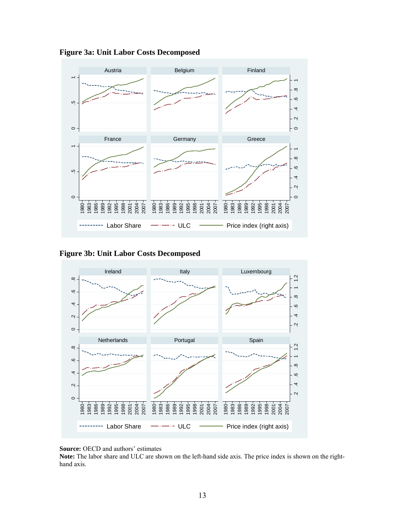

**Figure 3a: Unit Labor Costs Decomposed** 

## **Figure 3b: Unit Labor Costs Decomposed**



**Source:** OECD and authors' estimates

**Note:** The labor share and ULC are shown on the left-hand side axis. The price index is shown on the righthand axis.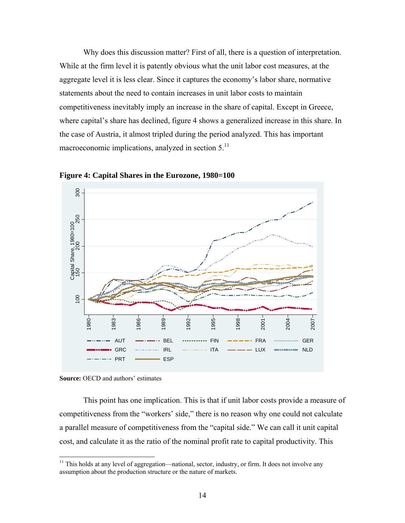Why does this discussion matter? First of all, there is a question of interpretation. While at the firm level it is patently obvious what the unit labor cost measures, at the aggregate level it is less clear. Since it captures the economy's labor share, normative statements about the need to contain increases in unit labor costs to maintain competitiveness inevitably imply an increase in the share of capital. Except in Greece, where capital's share has declined, figure 4 shows a generalized increase in this share. In the case of Austria, it almost tripled during the period analyzed. This has important macroeconomic implications, analyzed in section  $5<sup>11</sup>$ 



**Figure 4: Capital Shares in the Eurozone, 1980=100** 

 This point has one implication. This is that if unit labor costs provide a measure of competitiveness from the "workers' side," there is no reason why one could not calculate a parallel measure of competitiveness from the "capital side." We can call it unit capital cost, and calculate it as the ratio of the nominal profit rate to capital productivity. This

**Source:** OECD and authors' estimates

<sup>&</sup>lt;sup>11</sup> This holds at any level of aggregation—national, sector, industry, or firm. It does not involve any assumption about the production structure or the nature of markets.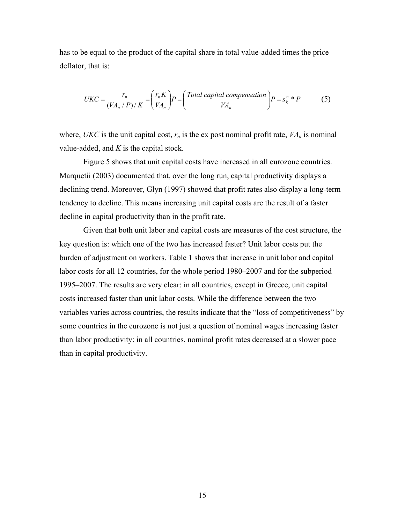has to be equal to the product of the capital share in total value-added times the price deflator, that is:

$$
UKC = \frac{r_n}{(VA_n/P)/K} = \left(\frac{r_n K}{VA_n}\right) P = \left(\frac{\text{Total capital compensation}}{VA_n}\right) P = s_k^n * P
$$
 (5)

where, *UKC* is the unit capital cost,  $r_n$  is the ex post nominal profit rate,  $VA_n$  is nominal value-added, and *K* is the capital stock.

Figure 5 shows that unit capital costs have increased in all eurozone countries. Marquetii (2003) documented that, over the long run, capital productivity displays a declining trend. Moreover, Glyn (1997) showed that profit rates also display a long-term tendency to decline. This means increasing unit capital costs are the result of a faster decline in capital productivity than in the profit rate.

Given that both unit labor and capital costs are measures of the cost structure, the key question is: which one of the two has increased faster? Unit labor costs put the burden of adjustment on workers. Table 1 shows that increase in unit labor and capital labor costs for all 12 countries, for the whole period 1980–2007 and for the subperiod 1995–2007. The results are very clear: in all countries, except in Greece, unit capital costs increased faster than unit labor costs. While the difference between the two variables varies across countries, the results indicate that the "loss of competitiveness" by some countries in the eurozone is not just a question of nominal wages increasing faster than labor productivity: in all countries, nominal profit rates decreased at a slower pace than in capital productivity.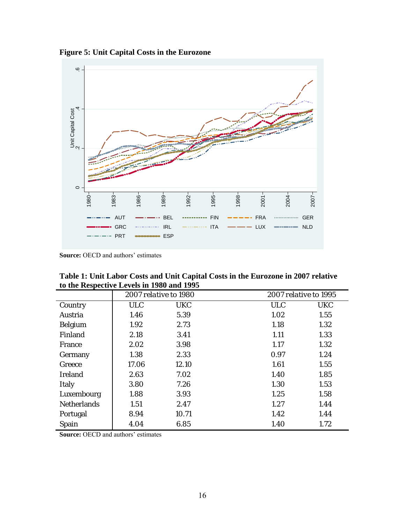**Figure 5: Unit Capital Costs in the Eurozone** 



**Source:** OECD and authors' estimates

| Table 1: Unit Labor Costs and Unit Capital Costs in the Eurozone in 2007 relative |  |
|-----------------------------------------------------------------------------------|--|
| to the Respective Levels in 1980 and 1995                                         |  |

|                    | 2007 relative to 1980 |            | 2007 relative to 1995 |            |
|--------------------|-----------------------|------------|-----------------------|------------|
| Country            | <b>ULC</b>            | <b>UKC</b> | <b>ULC</b>            | <b>UKC</b> |
| Austria            | 1.46                  | 5.39       | 1.02                  | 1.55       |
| <b>Belgium</b>     | 1.92                  | 2.73       | 1.18                  | 1.32       |
| Finland            | 2.18                  | 3.41       | 1.11                  | 1.33       |
| France             | 2.02                  | 3.98       | 1.17                  | 1.32       |
| Germany            | 1.38                  | 2.33       | 0.97                  | 1.24       |
| Greece             | 17.06                 | 12.10      | 1.61                  | 1.55       |
| <b>Ireland</b>     | 2.63                  | 7.02       | 1.40                  | 1.85       |
| <b>Italy</b>       | 3.80                  | 7.26       | 1.30                  | 1.53       |
| Luxembourg         | 1.88                  | 3.93       | 1.25                  | 1.58       |
| <b>Netherlands</b> | 1.51                  | 2.47       | 1.27                  | 1.44       |
| Portugal           | 8.94                  | 10.71      | 1.42                  | 1.44       |
| Spain              | 4.04                  | 6.85       | 1.40                  | 1.72       |

**Source: OECD** and authors' estimates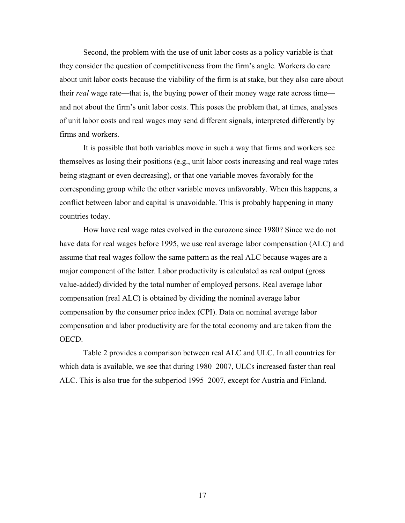Second, the problem with the use of unit labor costs as a policy variable is that they consider the question of competitiveness from the firm's angle. Workers do care about unit labor costs because the viability of the firm is at stake, but they also care about their *real* wage rate—that is, the buying power of their money wage rate across time and not about the firm's unit labor costs. This poses the problem that, at times, analyses of unit labor costs and real wages may send different signals, interpreted differently by firms and workers.

It is possible that both variables move in such a way that firms and workers see themselves as losing their positions (e.g., unit labor costs increasing and real wage rates being stagnant or even decreasing), or that one variable moves favorably for the corresponding group while the other variable moves unfavorably. When this happens, a conflict between labor and capital is unavoidable. This is probably happening in many countries today.

How have real wage rates evolved in the eurozone since 1980? Since we do not have data for real wages before 1995, we use real average labor compensation (ALC) and assume that real wages follow the same pattern as the real ALC because wages are a major component of the latter. Labor productivity is calculated as real output (gross value-added) divided by the total number of employed persons. Real average labor compensation (real ALC) is obtained by dividing the nominal average labor compensation by the consumer price index (CPI). Data on nominal average labor compensation and labor productivity are for the total economy and are taken from the OECD.

Table 2 provides a comparison between real ALC and ULC. In all countries for which data is available, we see that during 1980–2007, ULCs increased faster than real ALC. This is also true for the subperiod 1995–2007, except for Austria and Finland.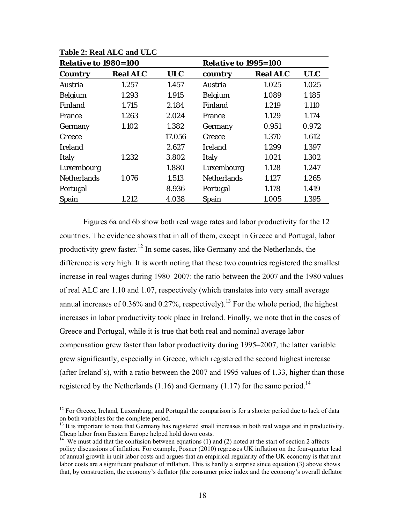| <b>Relative to 1980=100</b> |                 |                                                                                                                                                                                | <b>Relative to 1995=100</b> |                 |            |  |  |  |
|-----------------------------|-----------------|--------------------------------------------------------------------------------------------------------------------------------------------------------------------------------|-----------------------------|-----------------|------------|--|--|--|
| <b>Country</b>              | <b>Real ALC</b> | <b>ULC</b><br>country<br>1.457<br>Austria<br>1.915<br><b>Belgium</b><br>2.184<br>Finland<br>2.024<br>France<br>1.382<br>Germany<br>17.056<br>Greece<br>2.627<br><b>Ireland</b> |                             | <b>Real ALC</b> | <b>ULC</b> |  |  |  |
| Austria                     | 1.257           |                                                                                                                                                                                |                             | 1.025           | 1.025      |  |  |  |
| <b>Belgium</b>              | 1.293           |                                                                                                                                                                                |                             | 1.089           | 1.185      |  |  |  |
| Finland                     | 1.715           |                                                                                                                                                                                |                             | 1.219           | 1.110      |  |  |  |
| <b>France</b>               | 1.263           |                                                                                                                                                                                |                             | 1.129           | 1.174      |  |  |  |
| Germany                     | 1.102           |                                                                                                                                                                                |                             | 0.951           | 0.972      |  |  |  |
| Greece                      |                 |                                                                                                                                                                                |                             | 1.370           | 1.612      |  |  |  |
| Ireland                     |                 |                                                                                                                                                                                |                             | 1.299           | 1.397      |  |  |  |
| <b>Italy</b>                | 1.232           | 3.802                                                                                                                                                                          | <b>Italy</b>                | 1.021           | 1.302      |  |  |  |
| Luxembourg                  |                 | 1.880                                                                                                                                                                          | Luxembourg                  | 1.128           | 1.247      |  |  |  |
| <b>Netherlands</b>          | 1.076           | 1.513                                                                                                                                                                          | <b>Netherlands</b>          | 1.127           | 1.265      |  |  |  |
| Portugal                    |                 | 8.936                                                                                                                                                                          | Portugal                    | 1.178           | 1.419      |  |  |  |
| Spain                       | 1.212           | 4.038                                                                                                                                                                          | Spain                       | 1.005           | 1.395      |  |  |  |

#### **Table 2: Real ALC and ULC**

Figures 6a and 6b show both real wage rates and labor productivity for the 12 countries. The evidence shows that in all of them, except in Greece and Portugal, labor productivity grew faster.<sup>12</sup> In some cases, like Germany and the Netherlands, the difference is very high. It is worth noting that these two countries registered the smallest increase in real wages during 1980–2007: the ratio between the 2007 and the 1980 values of real ALC are 1.10 and 1.07, respectively (which translates into very small average annual increases of 0.36% and 0.27%, respectively).<sup>13</sup> For the whole period, the highest increases in labor productivity took place in Ireland. Finally, we note that in the cases of Greece and Portugal, while it is true that both real and nominal average labor compensation grew faster than labor productivity during 1995–2007, the latter variable grew significantly, especially in Greece, which registered the second highest increase (after Ireland's), with a ratio between the 2007 and 1995 values of 1.33, higher than those registered by the Netherlands (1.16) and Germany (1.17) for the same period.<sup>14</sup>

 $12$  For Greece, Ireland, Luxemburg, and Portugal the comparison is for a shorter period due to lack of data on both variables for the complete period.

<sup>&</sup>lt;sup>13</sup> It is important to note that Germany has registered small increases in both real wages and in productivity. Cheap labor from Eastern Europe helped hold down costs.

 $14$  We must add that the confusion between equations (1) and (2) noted at the start of section 2 affects policy discussions of inflation. For example, Posner (2010) regresses UK inflation on the four-quarter lead of annual growth in unit labor costs and argues that an empirical regularity of the UK economy is that unit labor costs are a significant predictor of inflation. This is hardly a surprise since equation (3) above shows that, by construction, the economy's deflator (the consumer price index and the economy's overall deflator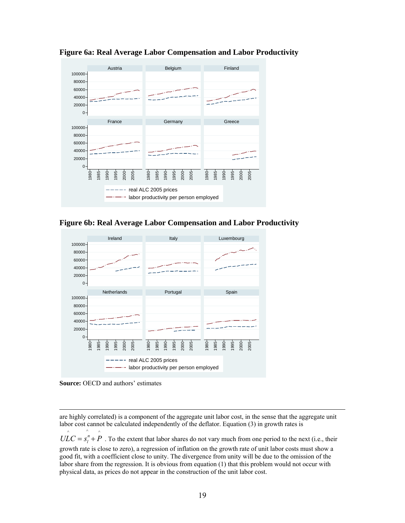

**Figure 6a: Real Average Labor Compensation and Labor Productivity** 





**Source:** OECD and authors' estimates

are highly correlated) is a component of the aggregate unit labor cost, in the sense that the aggregate unit labor cost cannot be calculated independently of the deflator. Equation (3) in growth rates is

 $\wedge$   $\wedge$  $ULC = s<sub>i</sub><sup>n</sup> + P$ . To the extent that labor shares do not vary much from one period to the next (i.e., their growth rate is close to zero), a regression of inflation on the growth rate of unit labor costs must show a good fit, with a coefficient close to unity. The divergence from unity will be due to the omission of the labor share from the regression. It is obvious from equation (1) that this problem would not occur with physical data, as prices do not appear in the construction of the unit labor cost.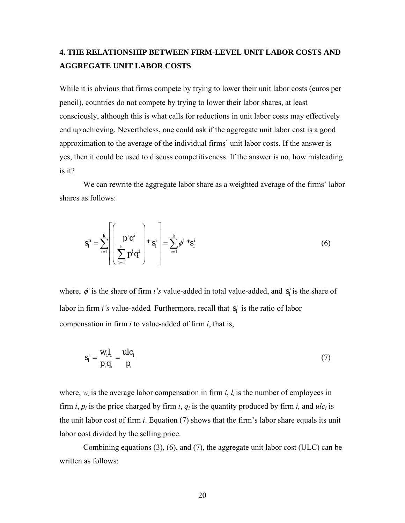# **4. THE RELATIONSHIP BETWEEN FIRM-LEVEL UNIT LABOR COSTS AND AGGREGATE UNIT LABOR COSTS**

While it is obvious that firms compete by trying to lower their unit labor costs (euros per pencil), countries do not compete by trying to lower their labor shares, at least consciously, although this is what calls for reductions in unit labor costs may effectively end up achieving. Nevertheless, one could ask if the aggregate unit labor cost is a good approximation to the average of the individual firms' unit labor costs. If the answer is yes, then it could be used to discuss competitiveness. If the answer is no, how misleading is it?

We can rewrite the aggregate labor share as a weighted average of the firms' labor shares as follows:

$$
s_l^n = \sum_{i=1}^k \left[ \left( \frac{p^i q^i}{\sum_{i=1}^k p^i q^i} \right) * s_l^i \right] = \sum_{i=1}^k \phi^{i} * s_l^i \tag{6}
$$

where,  $\phi^i$  is the share of firm *i's* value-added in total value-added, and  $s^i_j$  is the share of labor in firm *i's* value-added. Furthermore, recall that  $s_i^i$  is the ratio of labor compensation in firm *i* to value-added of firm *i*, that is,

$$
s_i^i = \frac{w_i I_i}{p_i q_i} = \frac{ulc_i}{p_i} \tag{7}
$$

where,  $w_i$  is the average labor compensation in firm *i*,  $l_i$  is the number of employees in firm *i*,  $p_i$  is the price charged by firm *i*,  $q_i$  is the quantity produced by firm *i*, and  $ulc_i$  is the unit labor cost of firm *i*. Equation (7) shows that the firm's labor share equals its unit labor cost divided by the selling price.

Combining equations  $(3)$ ,  $(6)$ , and  $(7)$ , the aggregate unit labor cost (ULC) can be written as follows: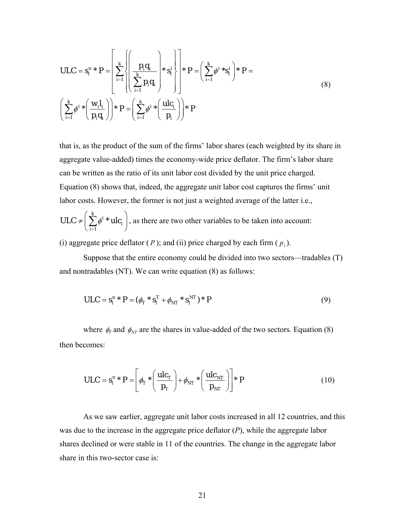$$
ULC = s_i^n * P = \left[ \sum_{i=1}^k \left\{ \left( \frac{p_i q_i}{\sum_{i=1}^k p_i q_i} \right) * s_i^i \right\} \right] * P = \left( \sum_{i=1}^k \phi^{i} * s_i^i \right) * P =
$$
\n
$$
\left( \sum_{i=1}^k \phi^{i} * \left( \frac{w_i l_i}{p_i q_i} \right) \right) * P = \left( \sum_{i=1}^k \phi^{i} * \left( \frac{u l c_i}{p_i} \right) \right) * P
$$
\n(8)

that is, as the product of the sum of the firms' labor shares (each weighted by its share in aggregate value-added) times the economy-wide price deflator. The firm's labor share can be written as the ratio of its unit labor cost divided by the unit price charged. Equation (8) shows that, indeed, the aggregate unit labor cost captures the firms' unit labor costs. However, the former is not just a weighted average of the latter i.e.,

$$
ULC \neq \left(\sum_{i=1}^{k} \phi^{i} * ulc_{i}\right)
$$
, as there are two other variables to be taken into account:

(i) aggregate price deflator  $(P)$ ; and (ii) price charged by each firm  $(p_i)$ .

Suppose that the entire economy could be divided into two sectors—tradables (T) and nontradables (NT). We can write equation (8) as follows:

$$
ULC = s_I^{n*} P = (\phi_T * s_I^T + \phi_{NT} * s_I^{NT}) * P
$$
\n(9)

where  $\phi_T$  and  $\phi_{NT}$  are the shares in value-added of the two sectors. Equation (8) then becomes:

$$
ULC = s_l^n * P = \left[ \phi_T * \left( \frac{ulc_T}{p_T} \right) + \phi_{NT} * \left( \frac{ulc_{NT}}{p_{NT}} \right) \right] * P \tag{10}
$$

As we saw earlier, aggregate unit labor costs increased in all 12 countries, and this was due to the increase in the aggregate price deflator (*P*), while the aggregate labor shares declined or were stable in 11 of the countries. The change in the aggregate labor share in this two-sector case is: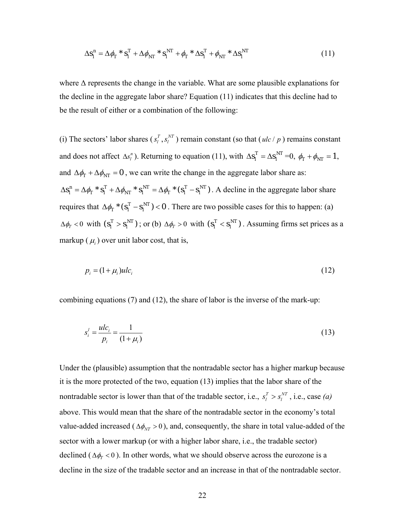$$
\Delta s_l^n = \Delta \phi_T \cdot s_l^T + \Delta \phi_{NT} \cdot s_l^{NT} + \phi_T \cdot \Delta s_l^T + \phi_{NT} \cdot \Delta s_l^{NT}
$$
\n(11)

where  $\Delta$  represents the change in the variable. What are some plausible explanations for the decline in the aggregate labor share? Equation (11) indicates that this decline had to be the result of either or a combination of the following:

(i) The sectors' labor shares  $(s_l^T, s_l^N)$  remain constant (so that  $(ulc/p)$  remains constant and does not affect  $\Delta s_l^n$ ). Returning to equation (11), with  $\Delta s_l^T = \Delta s_l^{NT} = 0$ ,  $\phi_T + \phi_{NT} = 1$ , and  $\Delta \phi_T + \Delta \phi_{NT} = 0$ , we can write the change in the aggregate labor share as:  $\Delta s_I^n = \Delta \phi_T * s_I^T + \Delta \phi_{NT} * s_I^{NT} = \Delta \phi_T * (s_I^T - s_I^{NT})$ . A decline in the aggregate labor share requires that  $\Delta \phi_T^*$  ( $s_I^T - s_I^{NT}$ ) < 0. There are two possible cases for this to happen: (a)  $\Delta \phi_T < 0$  with  $(s_I^T > s_I^{NT})$ ; or (b)  $\Delta \phi_T > 0$  with  $(s_I^T < s_I^{NT})$ . Assuming firms set prices as a markup  $(\mu_i)$  over unit labor cost, that is,

$$
p_i = (1 + \mu_i)ul_c \tag{12}
$$

combining equations (7) and (12), the share of labor is the inverse of the mark-up:

$$
s_i^l = \frac{ulc_i}{p_i} = \frac{1}{(1 + \mu_i)}
$$
(13)

Under the (plausible) assumption that the nontradable sector has a higher markup because it is the more protected of the two, equation (13) implies that the labor share of the nontradable sector is lower than that of the tradable sector, i.e.,  $s_l^T > s_l^{NT}$ , i.e., case (*a*) above. This would mean that the share of the nontradable sector in the economy's total value-added increased ( $\Delta \phi_{NT} > 0$ ), and, consequently, the share in total value-added of the sector with a lower markup (or with a higher labor share, i.e., the tradable sector) declined ( $\Delta \phi_T < 0$ ). In other words, what we should observe across the eurozone is a decline in the size of the tradable sector and an increase in that of the nontradable sector.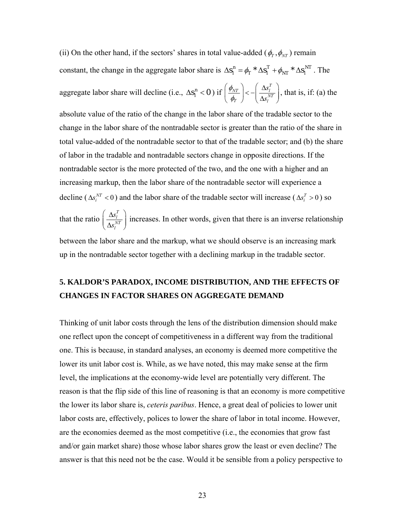(ii) On the other hand, if the sectors' shares in total value-added ( $\phi_T$ ,  $\phi_{NT}$ ) remain constant, the change in the aggregate labor share is  $\Delta s_l^n = \phi_T * \Delta s_l^T + \phi_{NT} * \Delta s_l^{NT}$ . The aggregate labor share will decline (i.e.,  $\Delta s_i^n < 0$ ) if  $\left(\Delta s_l^T\right)_{\leq l}$   $\left(\Delta s_l^T\right)$  $\mathbf{A}_T$ <sup>*J*</sup>  $\Delta s_l^{NT}$ *s s*  $\phi$  $\left(\frac{\phi_{NT}}{\phi_T}\right) < -\left(\frac{\Delta s_l^T}{\Delta s_l^{NT}}\right)$ , that is, if: (a) the absolute value of the ratio of the change in the labor share of the tradable sector to the change in the labor share of the nontradable sector is greater than the ratio of the share in

total value-added of the nontradable sector to that of the tradable sector; and (b) the share of labor in the tradable and nontradable sectors change in opposite directions. If the nontradable sector is the more protected of the two, and the one with a higher and an increasing markup, then the labor share of the nontradable sector will experience a decline ( $\Delta s_i^{NT} < 0$ ) and the labor share of the tradable sector will increase ( $\Delta s_i^T > 0$ ) so that the ratio *T l NT l s*  $\left(\frac{\Delta s_l^T}{\Delta s_l^{NT}}\right)$  increases. In other words, given that there is an inverse relationship

between the labor share and the markup, what we should observe is an increasing mark up in the nontradable sector together with a declining markup in the tradable sector.

# **5. KALDOR'S PARADOX, INCOME DISTRIBUTION, AND THE EFFECTS OF CHANGES IN FACTOR SHARES ON AGGREGATE DEMAND**

Thinking of unit labor costs through the lens of the distribution dimension should make one reflect upon the concept of competitiveness in a different way from the traditional one. This is because, in standard analyses, an economy is deemed more competitive the lower its unit labor cost is. While, as we have noted, this may make sense at the firm level, the implications at the economy-wide level are potentially very different. The reason is that the flip side of this line of reasoning is that an economy is more competitive the lower its labor share is, *ceteris paribus*. Hence, a great deal of policies to lower unit labor costs are, effectively, polices to lower the share of labor in total income. However, are the economies deemed as the most competitive (i.e., the economies that grow fast and/or gain market share) those whose labor shares grow the least or even decline? The answer is that this need not be the case. Would it be sensible from a policy perspective to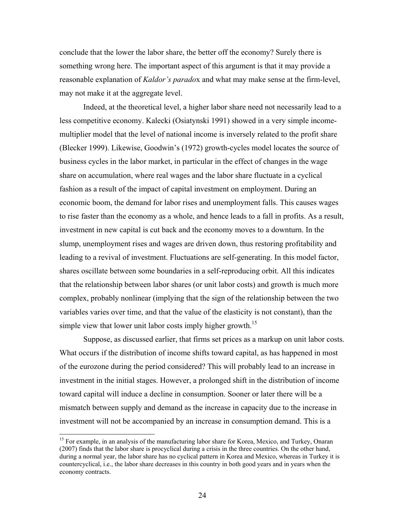conclude that the lower the labor share, the better off the economy? Surely there is something wrong here. The important aspect of this argument is that it may provide a reasonable explanation of *Kaldor's parado*x and what may make sense at the firm-level, may not make it at the aggregate level.

Indeed, at the theoretical level, a higher labor share need not necessarily lead to a less competitive economy. Kalecki (Osiatynski 1991) showed in a very simple incomemultiplier model that the level of national income is inversely related to the profit share (Blecker 1999). Likewise, Goodwin's (1972) growth-cycles model locates the source of business cycles in the labor market, in particular in the effect of changes in the wage share on accumulation, where real wages and the labor share fluctuate in a cyclical fashion as a result of the impact of capital investment on employment. During an economic boom, the demand for labor rises and unemployment falls. This causes wages to rise faster than the economy as a whole, and hence leads to a fall in profits. As a result, investment in new capital is cut back and the economy moves to a downturn. In the slump, unemployment rises and wages are driven down, thus restoring profitability and leading to a revival of investment. Fluctuations are self-generating. In this model factor, shares oscillate between some boundaries in a self-reproducing orbit. All this indicates that the relationship between labor shares (or unit labor costs) and growth is much more complex, probably nonlinear (implying that the sign of the relationship between the two variables varies over time, and that the value of the elasticity is not constant), than the simple view that lower unit labor costs imply higher growth.<sup>15</sup>

Suppose, as discussed earlier, that firms set prices as a markup on unit labor costs. What occurs if the distribution of income shifts toward capital, as has happened in most of the eurozone during the period considered? This will probably lead to an increase in investment in the initial stages. However, a prolonged shift in the distribution of income toward capital will induce a decline in consumption. Sooner or later there will be a mismatch between supply and demand as the increase in capacity due to the increase in investment will not be accompanied by an increase in consumption demand. This is a

<sup>&</sup>lt;sup>15</sup> For example, in an analysis of the manufacturing labor share for Korea, Mexico, and Turkey, Onaran (2007) finds that the labor share is procyclical during a crisis in the three countries. On the other hand, during a normal year, the labor share has no cyclical pattern in Korea and Mexico, whereas in Turkey it is countercyclical, i.e., the labor share decreases in this country in both good years and in years when the economy contracts.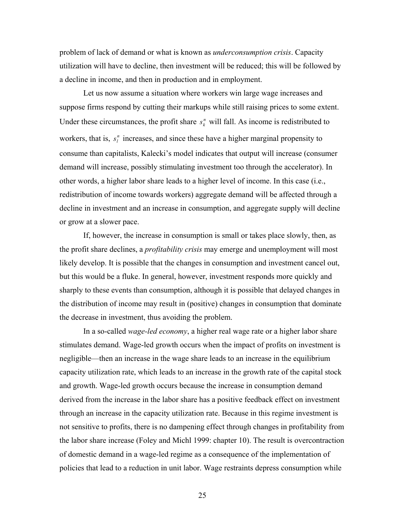problem of lack of demand or what is known as *underconsumption crisis*. Capacity utilization will have to decline, then investment will be reduced; this will be followed by a decline in income, and then in production and in employment.

Let us now assume a situation where workers win large wage increases and suppose firms respond by cutting their markups while still raising prices to some extent. Under these circumstances, the profit share  $s_k^n$  will fall. As income is redistributed to workers, that is,  $s_l^n$  increases, and since these have a higher marginal propensity to consume than capitalists, Kalecki's model indicates that output will increase (consumer demand will increase, possibly stimulating investment too through the accelerator). In other words, a higher labor share leads to a higher level of income. In this case (i.e., redistribution of income towards workers) aggregate demand will be affected through a decline in investment and an increase in consumption, and aggregate supply will decline or grow at a slower pace.

If, however, the increase in consumption is small or takes place slowly, then, as the profit share declines, a *profitability crisis* may emerge and unemployment will most likely develop. It is possible that the changes in consumption and investment cancel out, but this would be a fluke. In general, however, investment responds more quickly and sharply to these events than consumption, although it is possible that delayed changes in the distribution of income may result in (positive) changes in consumption that dominate the decrease in investment, thus avoiding the problem.

In a so-called *wage-led economy*, a higher real wage rate or a higher labor share stimulates demand. Wage-led growth occurs when the impact of profits on investment is negligible—then an increase in the wage share leads to an increase in the equilibrium capacity utilization rate, which leads to an increase in the growth rate of the capital stock and growth. Wage-led growth occurs because the increase in consumption demand derived from the increase in the labor share has a positive feedback effect on investment through an increase in the capacity utilization rate. Because in this regime investment is not sensitive to profits, there is no dampening effect through changes in profitability from the labor share increase (Foley and Michl 1999: chapter 10). The result is overcontraction of domestic demand in a wage-led regime as a consequence of the implementation of policies that lead to a reduction in unit labor. Wage restraints depress consumption while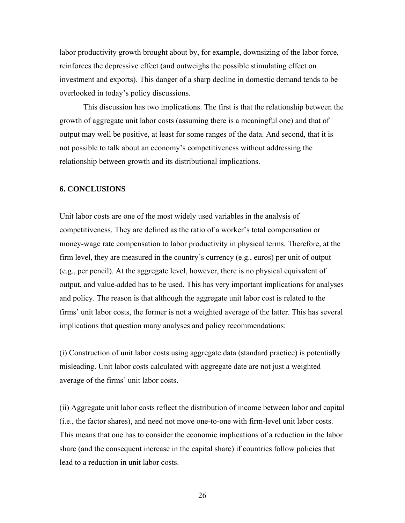labor productivity growth brought about by, for example, downsizing of the labor force, reinforces the depressive effect (and outweighs the possible stimulating effect on investment and exports). This danger of a sharp decline in domestic demand tends to be overlooked in today's policy discussions.

This discussion has two implications. The first is that the relationship between the growth of aggregate unit labor costs (assuming there is a meaningful one) and that of output may well be positive, at least for some ranges of the data. And second, that it is not possible to talk about an economy's competitiveness without addressing the relationship between growth and its distributional implications.

### **6. CONCLUSIONS**

Unit labor costs are one of the most widely used variables in the analysis of competitiveness. They are defined as the ratio of a worker's total compensation or money-wage rate compensation to labor productivity in physical terms. Therefore, at the firm level, they are measured in the country's currency (e.g., euros) per unit of output (e.g., per pencil). At the aggregate level, however, there is no physical equivalent of output, and value-added has to be used. This has very important implications for analyses and policy. The reason is that although the aggregate unit labor cost is related to the firms' unit labor costs, the former is not a weighted average of the latter. This has several implications that question many analyses and policy recommendations:

(i) Construction of unit labor costs using aggregate data (standard practice) is potentially misleading. Unit labor costs calculated with aggregate date are not just a weighted average of the firms' unit labor costs.

(ii) Aggregate unit labor costs reflect the distribution of income between labor and capital (i.e., the factor shares), and need not move one-to-one with firm-level unit labor costs. This means that one has to consider the economic implications of a reduction in the labor share (and the consequent increase in the capital share) if countries follow policies that lead to a reduction in unit labor costs.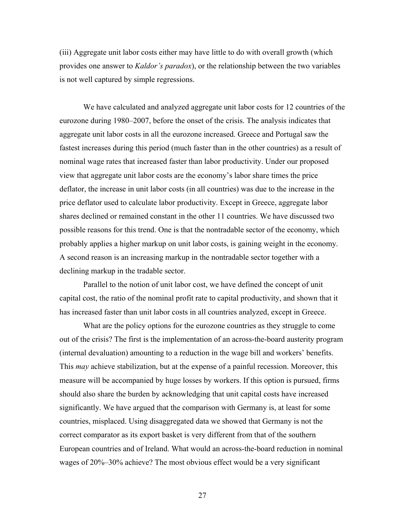(iii) Aggregate unit labor costs either may have little to do with overall growth (which provides one answer to *Kaldor's paradox*), or the relationship between the two variables is not well captured by simple regressions.

We have calculated and analyzed aggregate unit labor costs for 12 countries of the eurozone during 1980–2007, before the onset of the crisis. The analysis indicates that aggregate unit labor costs in all the eurozone increased. Greece and Portugal saw the fastest increases during this period (much faster than in the other countries) as a result of nominal wage rates that increased faster than labor productivity. Under our proposed view that aggregate unit labor costs are the economy's labor share times the price deflator, the increase in unit labor costs (in all countries) was due to the increase in the price deflator used to calculate labor productivity. Except in Greece, aggregate labor shares declined or remained constant in the other 11 countries. We have discussed two possible reasons for this trend. One is that the nontradable sector of the economy, which probably applies a higher markup on unit labor costs, is gaining weight in the economy. A second reason is an increasing markup in the nontradable sector together with a declining markup in the tradable sector.

 Parallel to the notion of unit labor cost, we have defined the concept of unit capital cost, the ratio of the nominal profit rate to capital productivity, and shown that it has increased faster than unit labor costs in all countries analyzed, except in Greece.

What are the policy options for the eurozone countries as they struggle to come out of the crisis? The first is the implementation of an across-the-board austerity program (internal devaluation) amounting to a reduction in the wage bill and workers' benefits. This *may* achieve stabilization, but at the expense of a painful recession. Moreover, this measure will be accompanied by huge losses by workers. If this option is pursued, firms should also share the burden by acknowledging that unit capital costs have increased significantly. We have argued that the comparison with Germany is, at least for some countries, misplaced. Using disaggregated data we showed that Germany is not the correct comparator as its export basket is very different from that of the southern European countries and of Ireland. What would an across-the-board reduction in nominal wages of 20%–30% achieve? The most obvious effect would be a very significant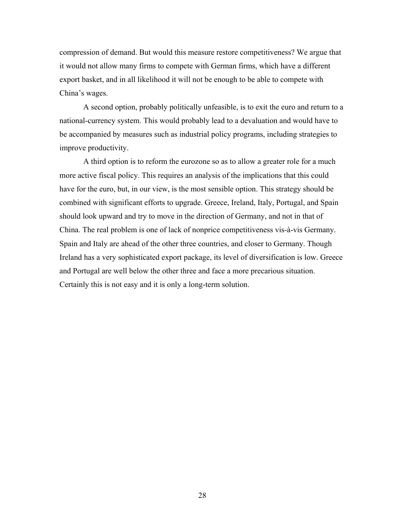compression of demand. But would this measure restore competitiveness? We argue that it would not allow many firms to compete with German firms, which have a different export basket, and in all likelihood it will not be enough to be able to compete with China's wages.

A second option, probably politically unfeasible, is to exit the euro and return to a national-currency system. This would probably lead to a devaluation and would have to be accompanied by measures such as industrial policy programs, including strategies to improve productivity.

A third option is to reform the eurozone so as to allow a greater role for a much more active fiscal policy. This requires an analysis of the implications that this could have for the euro, but, in our view, is the most sensible option. This strategy should be combined with significant efforts to upgrade. Greece, Ireland, Italy, Portugal, and Spain should look upward and try to move in the direction of Germany, and not in that of China. The real problem is one of lack of nonprice competitiveness vis-à-vis Germany. Spain and Italy are ahead of the other three countries, and closer to Germany. Though Ireland has a very sophisticated export package, its level of diversification is low. Greece and Portugal are well below the other three and face a more precarious situation. Certainly this is not easy and it is only a long-term solution.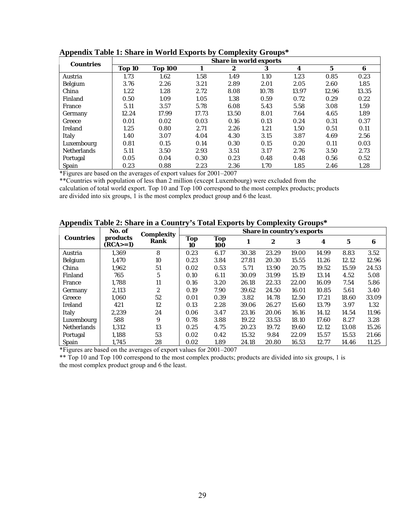| <b>Countries</b>   | <b>Share in world exports</b> |                |       |       |       |       |       |       |
|--------------------|-------------------------------|----------------|-------|-------|-------|-------|-------|-------|
|                    | Top 10                        | <b>Top 100</b> | 1     | 2     | 3     | 4     | 5     | 6     |
| Austria            | 1.73                          | 1.62           | 1.58  | 1.49  | 1.10  | 1.23  | 0.85  | 0.23  |
| Belgium            | 3.76                          | 2.26           | 3.21  | 2.89  | 2.01  | 2.05  | 2.60  | 1.85  |
| China              | 1.22                          | 1.28           | 2.72  | 8.08  | 10.78 | 13.97 | 12.96 | 13.35 |
| Finland            | 0.50                          | 1.09           | 1.05  | 1.38  | 0.59  | 0.72  | 0.29  | 0.22  |
| France             | 5.11                          | 3.57           | 5.78  | 6.08  | 5.43  | 5.58  | 3.08  | 1.59  |
| Germany            | 12.24                         | 17.99          | 17.73 | 13.50 | 8.01  | 7.64  | 4.65  | 1.89  |
| Greece             | 0.01                          | 0.02           | 0.03  | 0.16  | 0.13  | 0.24  | 0.31  | 0.37  |
| <b>Ireland</b>     | 1.25                          | 0.80           | 2.71  | 2.26  | 1.21  | 1.50  | 0.51  | 0.11  |
| Italy              | 1.40                          | 3.07           | 4.04  | 4.30  | 3.15  | 3.87  | 4.69  | 2.56  |
| Luxembourg         | 0.81                          | 0.15           | 0.14  | 0.30  | 0.15  | 0.20  | 0.11  | 0.03  |
| <b>Netherlands</b> | 5.11                          | 3.50           | 2.93  | 3.51  | 3.17  | 2.76  | 3.50  | 2.73  |
| Portugal           | 0.05                          | 0.04           | 0.30  | 0.23  | 0.48  | 0.48  | 0.56  | 0.52  |
| <b>Spain</b>       | 0.23                          | 0.88           | 2.23  | 2.36  | 1.70  | 1.85  | 2.46  | 1.28  |

#### **Appendix Table 1: Share in World Exports by Complexity Groups\***

\*Figures are based on the averages of export values for 2001–2007

\*\*Countries with population of less than 2 million (except Luxembourg) were excluded from the calculation of total world export. Top 10 and Top 100 correspond to the most complex products; products are divided into six groups, 1 is the most complex product group and 6 the least.

## **Appendix Table 2: Share in a Country's Total Exports by Complexity Groups\***

|                    | No. of                 | <b>Complexity</b> | <b>Share in country's exports</b> |            |       |       |       |       |       |       |
|--------------------|------------------------|-------------------|-----------------------------------|------------|-------|-------|-------|-------|-------|-------|
| <b>Countries</b>   | products<br>$(RCA>=1)$ | <b>Rank</b>       | <b>Top</b><br>10                  | Top<br>100 | 1     | 2     | 3     | 4     | 5     | 6     |
| Austria            | 1.369                  | 8                 | 0.23                              | 6.17       | 30.38 | 23.29 | 19.00 | 14.99 | 8.83  | 3.52  |
| Belgium            | 1.470                  | 10                | 0.23                              | 3.84       | 27.81 | 20.30 | 15.55 | 11.26 | 12.12 | 12.96 |
| China              | 1.962                  | 51                | 0.02                              | 0.53       | 5.71  | 13.90 | 20.75 | 19.52 | 15.59 | 24.53 |
| Finland            | 765                    | 5                 | 0.10                              | 6.11       | 30.09 | 31.99 | 15.19 | 13.14 | 4.52  | 5.08  |
| France             | 1,788                  | 11                | 0.16                              | 3.20       | 26.18 | 22.33 | 22.00 | 16.09 | 7.54  | 5.86  |
| Germany            | 2,113                  | 2                 | 0.19                              | 7.90       | 39.62 | 24.50 | 16.01 | 10.85 | 5.61  | 3.40  |
| Greece             | 1.060                  | 52                | 0.01                              | 0.39       | 3.82  | 14.78 | 12.50 | 17.21 | 18.60 | 33.09 |
| <b>Ireland</b>     | 421                    | 12                | 0.13                              | 2.28       | 39.06 | 26.27 | 15.60 | 13.79 | 3.97  | 1.32  |
| <b>Italy</b>       | 2.239                  | 24                | 0.06                              | 3.47       | 23.16 | 20.06 | 16.16 | 14.12 | 14.54 | 11.96 |
| Luxembourg         | 588                    | 9                 | 0.78                              | 3.88       | 19.22 | 33.53 | 18.10 | 17.60 | 8.27  | 3.28  |
| <b>Netherlands</b> | 1,312                  | 13                | 0.25                              | 4.75       | 20.23 | 19.72 | 19.60 | 12.12 | 13.08 | 15.26 |
| Portugal           | 1,188                  | 53                | 0.02                              | 0.42       | 15.32 | 9.84  | 22.09 | 15.57 | 15.53 | 21.66 |
| <b>Spain</b>       | 1.745                  | 28                | 0.02                              | 1.89       | 24.18 | 20.80 | 16.53 | 12.77 | 14.46 | 11.25 |

\*Figures are based on the averages of export values for 2001–2007

\*\* Top 10 and Top 100 correspond to the most complex products; products are divided into six groups, 1 is the most complex product group and 6 the least.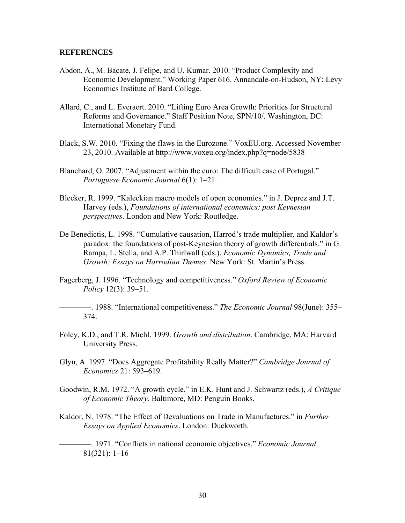#### **REFERENCES**

- Abdon, A., M. Bacate, J. Felipe, and U. Kumar. 2010. "Product Complexity and Economic Development." Working Paper 616. Annandale-on-Hudson, NY: Levy Economics Institute of Bard College.
- Allard, C., and L. Everaert. 2010. "Lifting Euro Area Growth: Priorities for Structural Reforms and Governance." Staff Position Note, SPN/10/. Washington, DC: International Monetary Fund.
- Black, S.W. 2010. "Fixing the flaws in the Eurozone." VoxEU.org. Accessed November 23, 2010. Available at http://www.voxeu.org/index.php?q=node/5838
- Blanchard, O. 2007. "Adjustment within the euro: The difficult case of Portugal." *Portuguese Economic Journal* 6(1): 1–21.
- Blecker, R. 1999. "Kaleckian macro models of open economies." in J. Deprez and J.T. Harvey (eds.), *Foundations of international economics: post Keynesian perspectives*. London and New York: Routledge.
- De Benedictis, L. 1998. "Cumulative causation, Harrod's trade multiplier, and Kaldor's paradox: the foundations of post-Keynesian theory of growth differentials." in G. Rampa, L. Stella, and A.P. Thirlwall (eds.), *Economic Dynamics, Trade and Growth: Essays on Harrodian Themes*. New York: St. Martin's Press.
- Fagerberg, J. 1996. "Technology and competitiveness." *Oxford Review of Economic Policy* 12(3): 39–51.

————. 1988. "International competitiveness." *The Economic Journal* 98(June): 355– 374.

- Foley, K.D., and T.R. Michl. 1999. *Growth and distribution*. Cambridge, MA: Harvard University Press.
- Glyn, A. 1997. "Does Aggregate Profitability Really Matter?" *Cambridge Journal of Economics* 21: 593–619.
- Goodwin, R.M. 1972. "A growth cycle." in E.K. Hunt and J. Schwartz (eds.), *A Critique of Economic Theory*. Baltimore, MD: Penguin Books.
- Kaldor, N. 1978. "The Effect of Devaluations on Trade in Manufactures." in *Further Essays on Applied Economics*. London: Duckworth.

————. 1971. "Conflicts in national economic objectives." *Economic Journal* 81(321): 1–16